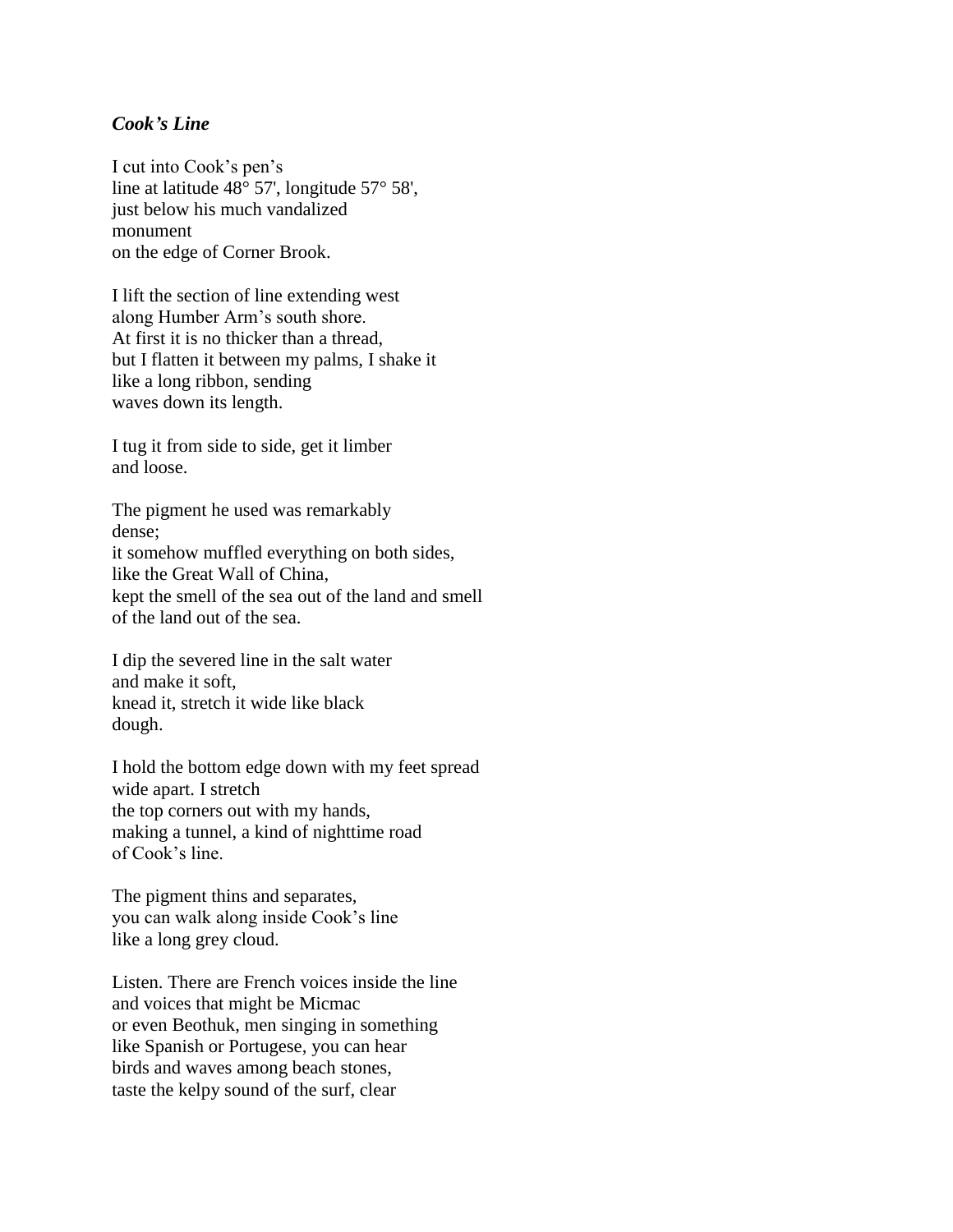## *Cook's Line*

I cut into Cook's pen's line at latitude 48° 57', longitude 57° 58', just below his much vandalized monument on the edge of Corner Brook.

I lift the section of line extending west along Humber Arm's south shore. At first it is no thicker than a thread, but I flatten it between my palms, I shake it like a long ribbon, sending waves down its length.

I tug it from side to side, get it limber and loose.

The pigment he used was remarkably dense; it somehow muffled everything on both sides, like the Great Wall of China, kept the smell of the sea out of the land and smell of the land out of the sea.

I dip the severed line in the salt water and make it soft, knead it, stretch it wide like black dough.

I hold the bottom edge down with my feet spread wide apart. I stretch the top corners out with my hands, making a tunnel, a kind of nighttime road of Cook's line.

The pigment thins and separates, you can walk along inside Cook's line like a long grey cloud.

Listen. There are French voices inside the line and voices that might be Micmac or even Beothuk, men singing in something like Spanish or Portugese, you can hear birds and waves among beach stones, taste the kelpy sound of the surf, clear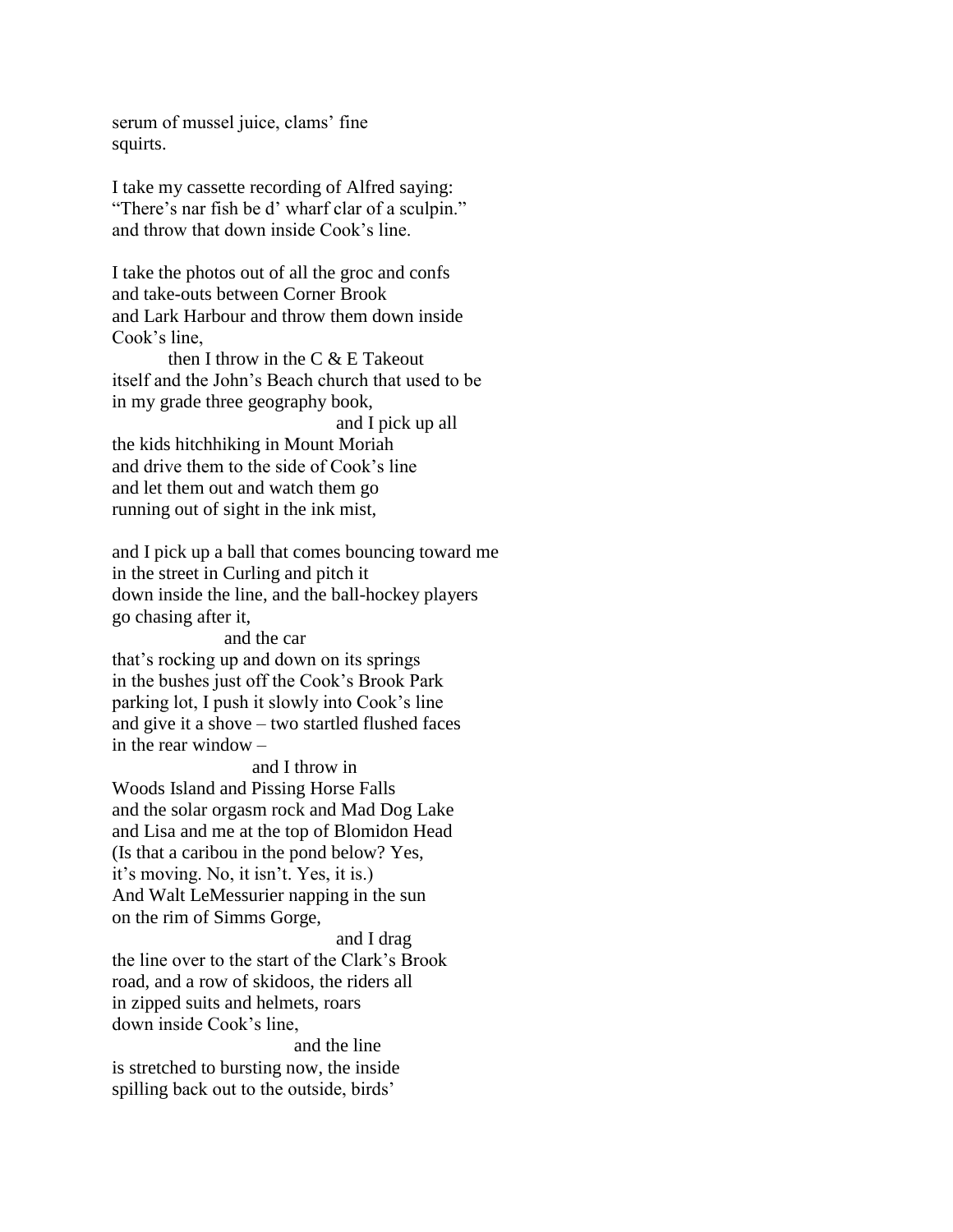serum of mussel juice, clams' fine squirts.

I take my cassette recording of Alfred saying: "There's nar fish be d' wharf clar of a sculpin." and throw that down inside Cook's line.

I take the photos out of all the groc and confs and take-outs between Corner Brook and Lark Harbour and throw them down inside Cook's line,

then I throw in the C & E Takeout itself and the John's Beach church that used to be in my grade three geography book,

and I pick up all the kids hitchhiking in Mount Moriah and drive them to the side of Cook's line and let them out and watch them go running out of sight in the ink mist,

and I pick up a ball that comes bouncing toward me in the street in Curling and pitch it down inside the line, and the ball-hockey players go chasing after it,

and the car that's rocking up and down on its springs in the bushes just off the Cook's Brook Park parking lot, I push it slowly into Cook's line and give it a shove – two startled flushed faces in the rear window –

and I throw in Woods Island and Pissing Horse Falls and the solar orgasm rock and Mad Dog Lake and Lisa and me at the top of Blomidon Head (Is that a caribou in the pond below? Yes, it's moving. No, it isn't. Yes, it is.) And Walt LeMessurier napping in the sun on the rim of Simms Gorge,

and I drag the line over to the start of the Clark's Brook road, and a row of skidoos, the riders all in zipped suits and helmets, roars down inside Cook's line, and the line

is stretched to bursting now, the inside spilling back out to the outside, birds'